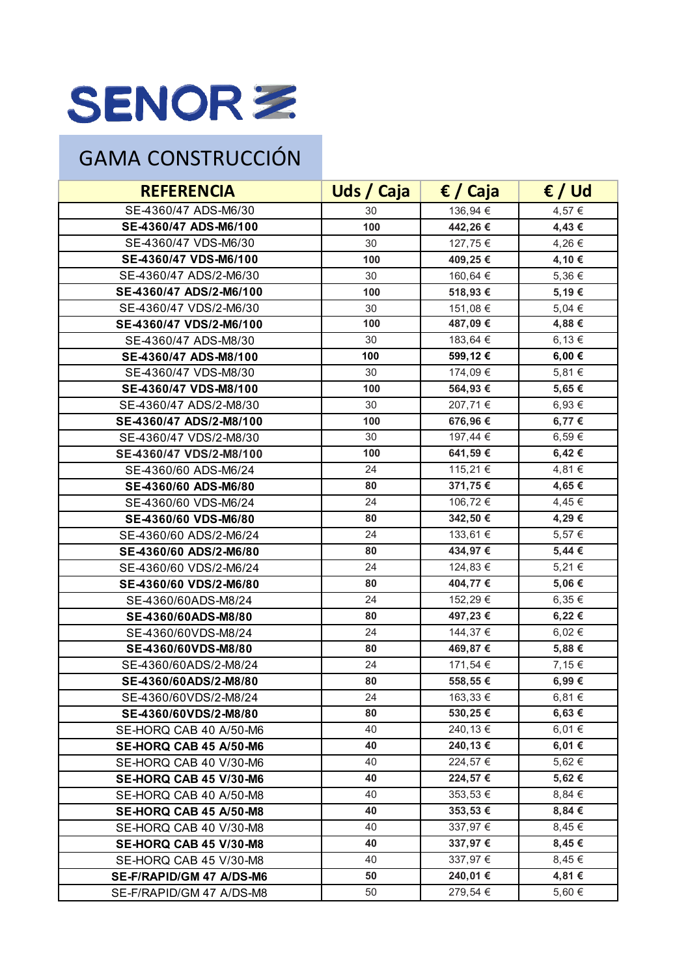## SENORZ

## GAMA CONSTRUCCIÓN

| <b>REFERENCIA</b>        | Uds / Caja | € / Caja | $\epsilon$ / Ud |
|--------------------------|------------|----------|-----------------|
| SE-4360/47 ADS-M6/30     | 30         | 136,94 € | 4,57 €          |
| SE-4360/47 ADS-M6/100    | 100        | 442,26€  | 4,43 €          |
| SE-4360/47 VDS-M6/30     | 30         | 127,75 € | 4,26 €          |
| SE-4360/47 VDS-M6/100    | 100        | 409,25€  | 4,10 €          |
| SE-4360/47 ADS/2-M6/30   | 30         | 160,64 € | 5,36 €          |
| SE-4360/47 ADS/2-M6/100  | 100        | 518,93€  | 5,19€           |
| SE-4360/47 VDS/2-M6/30   | 30         | 151,08 € | 5,04 €          |
| SE-4360/47 VDS/2-M6/100  | 100        | 487,09€  | 4,88 €          |
| SE-4360/47 ADS-M8/30     | 30         | 183,64 € | 6,13€           |
| SE-4360/47 ADS-M8/100    | 100        | 599,12€  | $6,00 \in$      |
| SE-4360/47 VDS-M8/30     | 30         | 174,09 € | 5,81 €          |
| SE-4360/47 VDS-M8/100    | 100        | 564,93€  | 5,65€           |
| SE-4360/47 ADS/2-M8/30   | 30         | 207,71 € | 6,93 €          |
| SE-4360/47 ADS/2-M8/100  | 100        | 676,96€  | 6,77 €          |
| SE-4360/47 VDS/2-M8/30   | 30         | 197,44 € | 6,59€           |
| SE-4360/47 VDS/2-M8/100  | 100        | 641,59€  | 6,42€           |
| SE-4360/60 ADS-M6/24     | 24         | 115,21 € | 4,81 €          |
| SE-4360/60 ADS-M6/80     | 80         | 371,75 € | 4,65 €          |
| SE-4360/60 VDS-M6/24     | 24         | 106,72 € | 4,45 €          |
| SE-4360/60 VDS-M6/80     | 80         | 342,50 € | 4,29€           |
| SE-4360/60 ADS/2-M6/24   | 24         | 133,61 € | 5,57 €          |
| SE-4360/60 ADS/2-M6/80   | 80         | 434,97€  | 5,44 €          |
| SE-4360/60 VDS/2-M6/24   | 24         | 124,83 € | 5,21€           |
| SE-4360/60 VDS/2-M6/80   | 80         | 404,77 € | 5,06€           |
| SE-4360/60ADS-M8/24      | 24         | 152,29€  | 6,35 €          |
| SE-4360/60ADS-M8/80      | 80         | 497,23€  | 6,22€           |
| SE-4360/60VDS-M8/24      | 24         | 144,37 € | 6,02€           |
| SE-4360/60VDS-M8/80      | 80         | 469,87€  | 5,88€           |
| SE-4360/60ADS/2-M8/24    | 24         | 171,54 € | 7,15 €          |
| SE-4360/60ADS/2-M8/80    | 80         | 558,55€  | 6,99€           |
| SE-4360/60VDS/2-M8/24    | 24         | 163,33 € | 6,81 $\in$      |
| SE-4360/60VDS/2-M8/80    | 80         | 530,25€  | 6,63€           |
| SE-HORQ CAB 40 A/50-M6   | 40         | 240,13 € | 6,01 €          |
| SE-HORQ CAB 45 A/50-M6   | 40         | 240,13 € | 6,01 €          |
| SE-HORQ CAB 40 V/30-M6   | 40         | 224,57€  | 5,62€           |
| SE-HORQ CAB 45 V/30-M6   | 40         | 224,57€  | 5,62 €          |
| SE-HORQ CAB 40 A/50-M8   | 40         | 353,53 € | 8,84€           |
| SE-HORQ CAB 45 A/50-M8   | 40         | 353,53€  | 8,84€           |
| SE-HORQ CAB 40 V/30-M8   | 40         | 337,97 € | 8,45€           |
| SE-HORQ CAB 45 V/30-M8   | 40         | 337,97€  | 8,45 €          |
| SE-HORQ CAB 45 V/30-M8   | 40         | 337,97€  | 8,45 €          |
| SE-F/RAPID/GM 47 A/DS-M6 | 50         | 240,01 € | 4,81 €          |
| SE-F/RAPID/GM 47 A/DS-M8 | 50         | 279,54 € | $5,60 \in$      |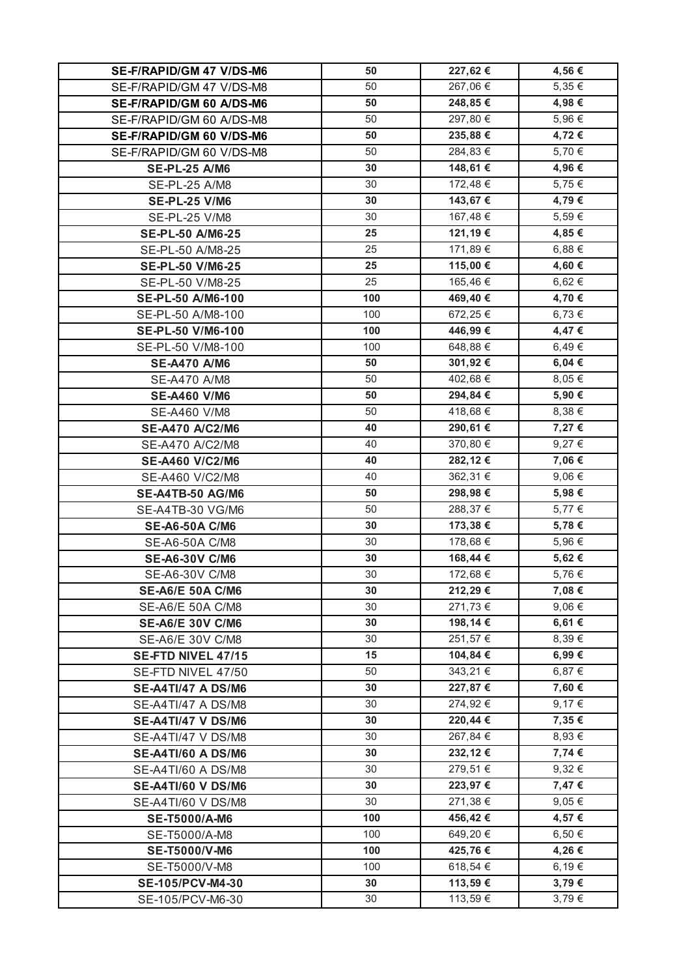| SE-F/RAPID/GM 47 V/DS-M6                    | 50       | 227,62 €           | 4,56 €         |
|---------------------------------------------|----------|--------------------|----------------|
| SE-F/RAPID/GM 47 V/DS-M8                    | 50       | 267,06 €           | 5,35 €         |
| SE-F/RAPID/GM 60 A/DS-M6                    | 50       | 248,85€            | 4,98 €         |
| SE-F/RAPID/GM 60 A/DS-M8                    | 50       | 297,80 €           | 5,96€          |
| SE-F/RAPID/GM 60 V/DS-M6                    | 50       | 235,88€            | 4,72€          |
| SE-F/RAPID/GM 60 V/DS-M8                    | 50       | 284,83 €           | 5,70 €         |
| <b>SE-PL-25 A/M6</b>                        | 30       | 148,61 €           | 4,96€          |
| SE-PL-25 A/M8                               | 30       | 172,48 €           | 5,75 €         |
| <b>SE-PL-25 V/M6</b>                        | 30       | 143,67 €           | 4,79€          |
| SE-PL-25 V/M8                               | 30       | 167,48 €           | 5,59€          |
| <b>SE-PL-50 A/M6-25</b>                     | 25       | 121,19€            | 4,85 €         |
| SE-PL-50 A/M8-25                            | 25       | 171,89 €           | 6,88 €         |
| <b>SE-PL-50 V/M6-25</b>                     | 25       | 115,00 €           | 4,60 €         |
| SE-PL-50 V/M8-25                            | 25       | 165,46 €           | 6,62 €         |
| <b>SE-PL-50 A/M6-100</b>                    | 100      | 469,40€            | 4,70 €         |
| SE-PL-50 A/M8-100                           | 100      | 672,25€            | 6,73 €         |
| <b>SE-PL-50 V/M6-100</b>                    | 100      | 446,99€            | 4,47€          |
| SE-PL-50 V/M8-100                           | 100      | 648,88€            | 6,49€          |
| <b>SE-A470 A/M6</b>                         | 50       | 301,92€            | 6,04 €         |
| SE-A470 A/M8                                | 50       | 402,68 €           | 8,05 €         |
| <b>SE-A460 V/M6</b>                         | 50       | 294,84€            | 5,90 €         |
| SE-A460 V/M8                                | 50       | 418,68 €           | 8,38 €         |
| <b>SE-A470 A/C2/M6</b>                      | 40       | 290,61€            | 7,27 €         |
| SE-A470 A/C2/M8                             | 40       | 370,80 €           | 9,27 €         |
| <b>SE-A460 V/C2/M6</b>                      | 40       | 282,12€            | 7,06€          |
| SE-A460 V/C2/M8                             | 40       | 362,31 €           | $9,06 \in$     |
|                                             |          |                    |                |
| <b>SE-A4TB-50 AG/M6</b>                     | 50       | 298,98€            | 5,98€          |
| SE-A4TB-30 VG/M6                            | 50       | 288,37€            | 5,77 €         |
| <b>SE-A6-50A C/M6</b>                       | 30       | 173,38 €           | 5,78€          |
| SE-A6-50A C/M8                              | 30       | 178,68 €           | 5,96 €         |
| <b>SE-A6-30V C/M6</b>                       | 30       | 168,44 €           | 5,62€          |
| SE-A6-30V C/M8                              | 30       | 172,68 €           | 5,76 €         |
| <b>SE-A6/E 50A C/M6</b>                     | 30       | 212,29€            | 7,08 €         |
| SE-A6/E 50A C/M8                            | 30       | 271,73 €           | 9,06€          |
| <b>SE-A6/E 30V C/M6</b>                     | 30       | 198,14 €           | 6,61 €         |
| SE-A6/E 30V C/M8                            | 30       | 251,57€            | 8,39€          |
| <b>SE-FTD NIVEL 47/15</b>                   | 15       | 104,84 €           | 6,99€          |
| SE-FTD NIVEL 47/50                          | 50       | 343,21 €           | 6,87 €         |
| <b>SE-A4TI/47 A DS/M6</b>                   | 30       | 227,87 €           | 7,60 €         |
| SE-A4TI/47 A DS/M8                          | 30       | 274,92 €           | 9,17€          |
| <b>SE-A4TI/47 V DS/M6</b>                   | 30       | 220,44 €           | 7,35 €         |
| SE-A4TI/47 V DS/M8                          | 30       | 267,84 €           | 8,93 €         |
| <b>SE-A4TI/60 A DS/M6</b>                   | 30       | 232,12€            | 7,74 €         |
| SE-A4TI/60 A DS/M8                          | 30       | 279,51 €           | $9,32 \in$     |
| <b>SE-A4TI/60 V DS/M6</b>                   | 30       | 223,97€            | 7,47 €         |
| SE-A4TI/60 V DS/M8                          | 30       | 271,38 €           | $9,05 \in$     |
| <b>SE-T5000/A-M6</b>                        | 100      | 456,42€            | 4,57 €         |
| SE-T5000/A-M8                               | 100      | 649,20€            | $6,50 \in$     |
| <b>SE-T5000/V-M6</b>                        | 100      | 425,76€            | 4,26€          |
| SE-T5000/V-M8                               | 100      | 618,54 €           | 6,19€          |
| <b>SE-105/PCV-M4-30</b><br>SE-105/PCV-M6-30 | 30<br>30 | 113,59€<br>113,59€ | 3,79€<br>3,79€ |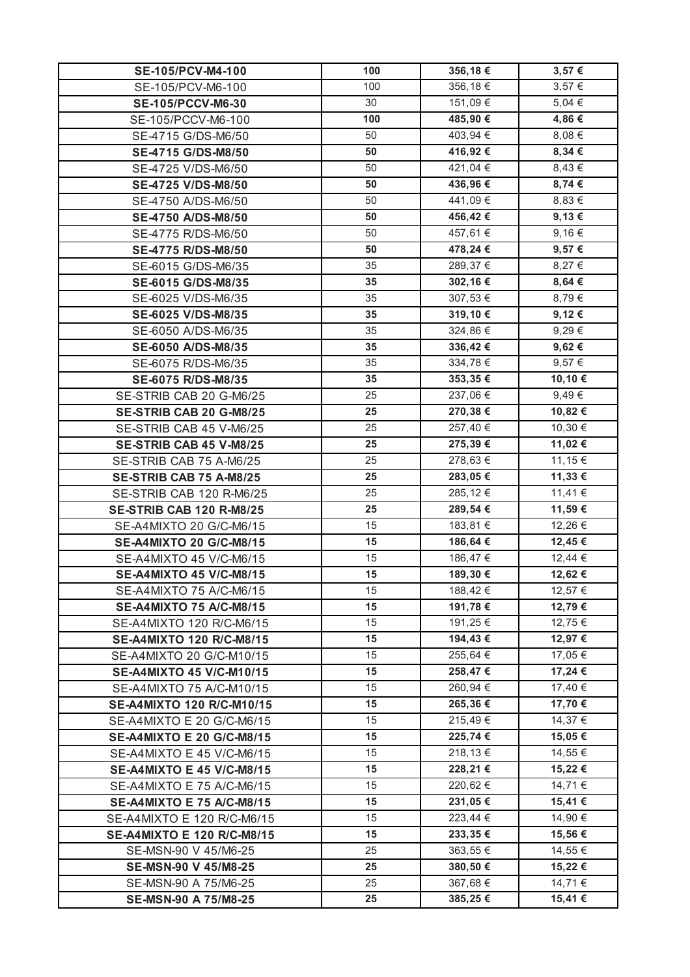| SE-105/PCV-M4-100                 | 100 | 356,18€  | 3,57€      |
|-----------------------------------|-----|----------|------------|
| SE-105/PCV-M6-100                 | 100 | 356,18€  | $3,57 \in$ |
| <b>SE-105/PCCV-M6-30</b>          | 30  | 151,09 € | 5,04 €     |
| SE-105/PCCV-M6-100                | 100 | 485,90 € | 4,86€      |
| SE-4715 G/DS-M6/50                | 50  | 403,94 € | $8,08 \in$ |
| SE-4715 G/DS-M8/50                | 50  | 416,92€  | 8,34 €     |
| SE-4725 V/DS-M6/50                | 50  | 421,04 € | $8,43 \in$ |
| SE-4725 V/DS-M8/50                | 50  | 436,96€  | 8,74 €     |
| SE-4750 A/DS-M6/50                | 50  | 441,09€  | $8,83 \in$ |
| SE-4750 A/DS-M8/50                | 50  | 456,42€  | 9,13€      |
| SE-4775 R/DS-M6/50                | 50  | 457,61 € | $9,16 \in$ |
| SE-4775 R/DS-M8/50                | 50  | 478,24 € | 9,57€      |
| SE-6015 G/DS-M6/35                | 35  | 289,37€  | 8,27 €     |
| SE-6015 G/DS-M8/35                | 35  | 302,16€  | 8,64 €     |
| SE-6025 V/DS-M6/35                | 35  | 307,53 € | 8,79€      |
| SE-6025 V/DS-M8/35                | 35  | 319,10€  | 9,12€      |
| SE-6050 A/DS-M6/35                | 35  | 324,86 € | 9,29€      |
| SE-6050 A/DS-M8/35                | 35  | 336,42€  | 9,62€      |
| SE-6075 R/DS-M6/35                | 35  | 334,78 € | 9,57 €     |
| SE-6075 R/DS-M8/35                | 35  | 353,35€  | 10,10 €    |
| SE-STRIB CAB 20 G-M6/25           | 25  | 237,06 € | $9,49 \in$ |
| SE-STRIB CAB 20 G-M8/25           | 25  | 270,38€  | 10,82€     |
| SE-STRIB CAB 45 V-M6/25           | 25  | 257,40 € | 10,30 €    |
| SE-STRIB CAB 45 V-M8/25           | 25  | 275,39€  | 11,02€     |
| SE-STRIB CAB 75 A-M6/25           | 25  | 278,63 € | 11,15 €    |
| SE-STRIB CAB 75 A-M8/25           | 25  | 283,05€  | 11,33 €    |
| SE-STRIB CAB 120 R-M6/25          | 25  | 285,12€  | 11,41 €    |
| <b>SE-STRIB CAB 120 R-M8/25</b>   | 25  | 289,54 € | 11,59€     |
| SE-A4MIXTO 20 G/C-M6/15           | 15  | 183,81 € | 12,26 €    |
| <b>SE-A4MIXTO 20 G/C-M8/15</b>    | 15  | 186,64 € | 12,45 €    |
| SE-A4MIXTO 45 V/C-M6/15           | 15  | 186,47€  | 12,44 €    |
| <b>SE-A4MIXTO 45 V/C-M8/15</b>    | 15  | 189,30€  | 12,62 €    |
| SE-A4MIXTO 75 A/C-M6/15           | 15  | 188,42 € | 12,57 €    |
| <b>SE-A4MIXTO 75 A/C-M8/15</b>    | 15  | 191,78 € | 12,79€     |
| SE-A4MIXTO 120 R/C-M6/15          | 15  | 191,25 € | 12,75 €    |
| SE-A4MIXTO 120 R/C-M8/15          | 15  | 194,43 € | 12,97 €    |
| SE-A4MIXTO 20 G/C-M10/15          | 15  | 255,64 € | 17,05 €    |
| SE-A4MIXTO 45 V/C-M10/15          | 15  | 258,47€  | 17,24 €    |
| SE-A4MIXTO 75 A/C-M10/15          | 15  | 260,94 € | 17,40 €    |
| SE-A4MIXTO 120 R/C-M10/15         | 15  | 265,36€  | 17,70 €    |
| SE-A4MIXTO E 20 G/C-M6/15         | 15  | 215,49€  | 14,37 €    |
| <b>SE-A4MIXTO E 20 G/C-M8/15</b>  | 15  | 225,74 € | 15,05€     |
| SE-A4MIXTO E 45 V/C-M6/15         | 15  | 218,13 € | 14,55 €    |
| <b>SE-A4MIXTO E 45 V/C-M8/15</b>  | 15  | 228,21€  | 15,22 €    |
| SE-A4MIXTO E 75 A/C-M6/15         | 15  | 220,62 € | 14,71 €    |
| <b>SE-A4MIXTO E 75 A/C-M8/15</b>  | 15  | 231,05€  | 15,41 €    |
| SE-A4MIXTO E 120 R/C-M6/15        | 15  | 223,44 € | 14,90 €    |
| <b>SE-A4MIXTO E 120 R/C-M8/15</b> | 15  | 233,35€  | 15,56€     |
| SE-MSN-90 V 45/M6-25              | 25  | 363,55 € | 14,55 €    |
| SE-MSN-90 V 45/M8-25              | 25  | 380,50 € | 15,22 €    |
| SE-MSN-90 A 75/M6-25              | 25  | 367,68€  | 14,71 €    |
| SE-MSN-90 A 75/M8-25              | 25  | 385,25€  | 15,41 €    |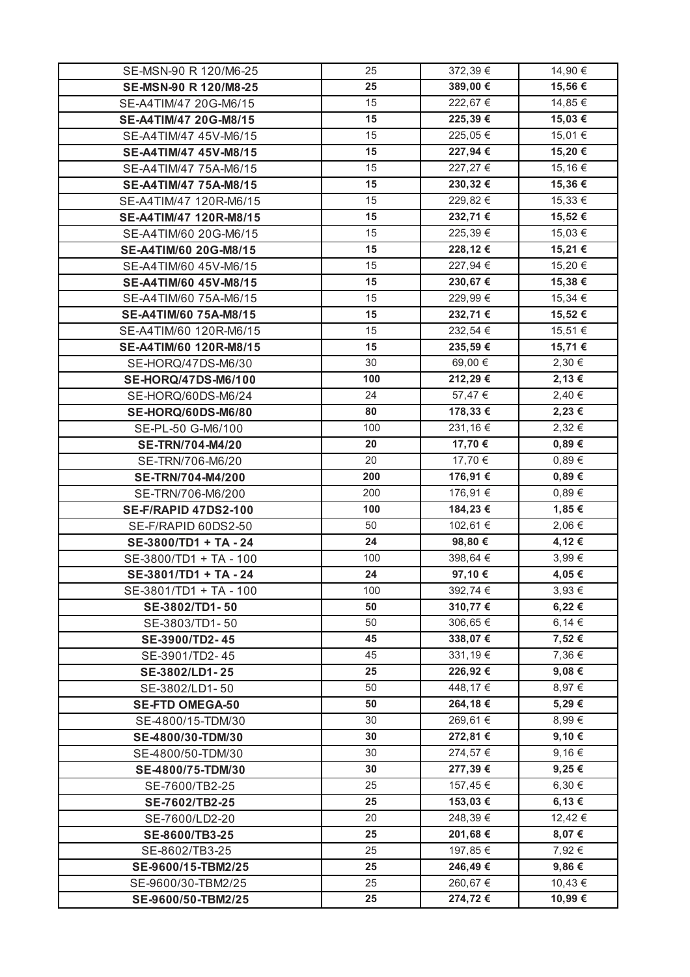| SE-MSN-90 R 120/M6-25       | 25       | 372,39€               | 14,90 €    |
|-----------------------------|----------|-----------------------|------------|
| SE-MSN-90 R 120/M8-25       | 25       | 389,00 €              | 15,56€     |
| SE-A4TIM/47 20G-M6/15       | 15       | 222,67€               | 14,85 €    |
| SE-A4TIM/47 20G-M8/15       | 15       | 225,39€               | 15,03 €    |
| SE-A4TIM/47 45V-M6/15       | 15       | 225,05€               | 15,01 €    |
| SE-A4TIM/47 45V-M8/15       | 15       | 227,94 €              | 15,20€     |
| SE-A4TIM/47 75A-M6/15       | 15       | 227,27 €              | 15,16 €    |
| SE-A4TIM/47 75A-M8/15       | 15       | 230,32€               | 15,36€     |
| SE-A4TIM/47 120R-M6/15      | 15       | $\overline{2}29,82$ € | 15,33 €    |
| SE-A4TIM/47 120R-M8/15      | 15       | 232,71€               | 15,52€     |
| SE-A4TIM/60 20G-M6/15       | 15       | 225,39€               | 15,03 €    |
| SE-A4TIM/60 20G-M8/15       | 15       | 228,12€               | 15,21 €    |
| SE-A4TIM/60 45V-M6/15       | 15       | 227,94 €              | 15,20 €    |
| SE-A4TIM/60 45V-M8/15       | 15       | 230,67€               | 15,38€     |
| SE-A4TIM/60 75A-M6/15       | 15       | 229,99€               | 15,34 €    |
| SE-A4TIM/60 75A-M8/15       | 15       | 232,71€               | 15,52€     |
| SE-A4TIM/60 120R-M6/15      | 15       | 232,54 €              | 15,51 €    |
| SE-A4TIM/60 120R-M8/15      | 15       | 235,59€               | 15,71 €    |
| SE-HORQ/47DS-M6/30          | 30       | 69,00 €               | 2,30€      |
| SE-HORQ/47DS-M6/100         | 100      | 212,29€               | 2,13€      |
| SE-HORQ/60DS-M6/24          | 24       | 57,47 €               | 2,40€      |
| SE-HORQ/60DS-M6/80          | 80       | 178,33 €              | 2,23 €     |
| SE-PL-50 G-M6/100           | 100      | 231,16€               | 2,32 €     |
| <b>SE-TRN/704-M4/20</b>     | 20       | 17,70 €               | $0,89 \in$ |
| SE-TRN/706-M6/20            | 20       | 17,70 €               | 0,89€      |
| SE-TRN/704-M4/200           | 200      | 176,91 €              | $0,89 \in$ |
| SE-TRN/706-M6/200           | 200      | 176,91 €              | 0,89€      |
| <b>SE-F/RAPID 47DS2-100</b> | 100      | 184,23€               | 1,85 €     |
| SE-F/RAPID 60DS2-50         | 50       | 102,61 €              | 2,06 €     |
| SE-3800/TD1 + TA - 24       | 24       | 98,80€                | 4,12€      |
| SE-3800/TD1 + TA - 100      | 100      | 398,64 €              | 3,99€      |
| SE-3801/TD1 + TA - 24       | 24       | 97,10€                | 4,05 €     |
| SE-3801/TD1 + TA - 100      | 100      | 392,74 €              | 3,93 €     |
| SE-3802/TD1-50              | 50       | 310,77€               | 6,22€      |
| SE-3803/TD1-50              | 50       | 306,65 €              | 6,14€      |
| SE-3900/TD2-45              | 45       | 338,07 €              | 7,52€      |
| SE-3901/TD2-45              | 45       | 331,19€               | 7,36 €     |
| SE-3802/LD1-25              | 25       | 226,92€               | 9,08€      |
| SE-3802/LD1-50              | 50       | 448,17 €              | 8,97€      |
| <b>SE-FTD OMEGA-50</b>      | 50       | 264,18€               | 5,29€      |
| SE-4800/15-TDM/30           | 30       | 269,61 €              | 8,99€      |
|                             | 30       | 272,81 €              | 9,10€      |
| SE-4800/30-TDM/30           | 30       | 274,57 €              | 9,16€      |
| SE-4800/50-TDM/30           |          |                       |            |
| SE-4800/75-TDM/30           | 30<br>25 | 277,39€               | 9,25€      |
| SE-7600/TB2-25              |          | 157,45 €              | $6,30 \in$ |
| SE-7602/TB2-25              | 25       | 153,03 €              | 6,13€      |
| SE-7600/LD2-20              | 20       | 248,39€               | 12,42 €    |
| SE-8600/TB3-25              | 25       | 201,68€               | 8,07€      |
| SE-8602/TB3-25              | 25       | 197,85 €              | 7,92 €     |
| SE-9600/15-TBM2/25          | 25       | 246,49€               | 9,86€      |
| SE-9600/30-TBM2/25          | 25       | 260,67€               | 10,43 €    |
| SE-9600/50-TBM2/25          | 25       | 274,72€               | 10,99€     |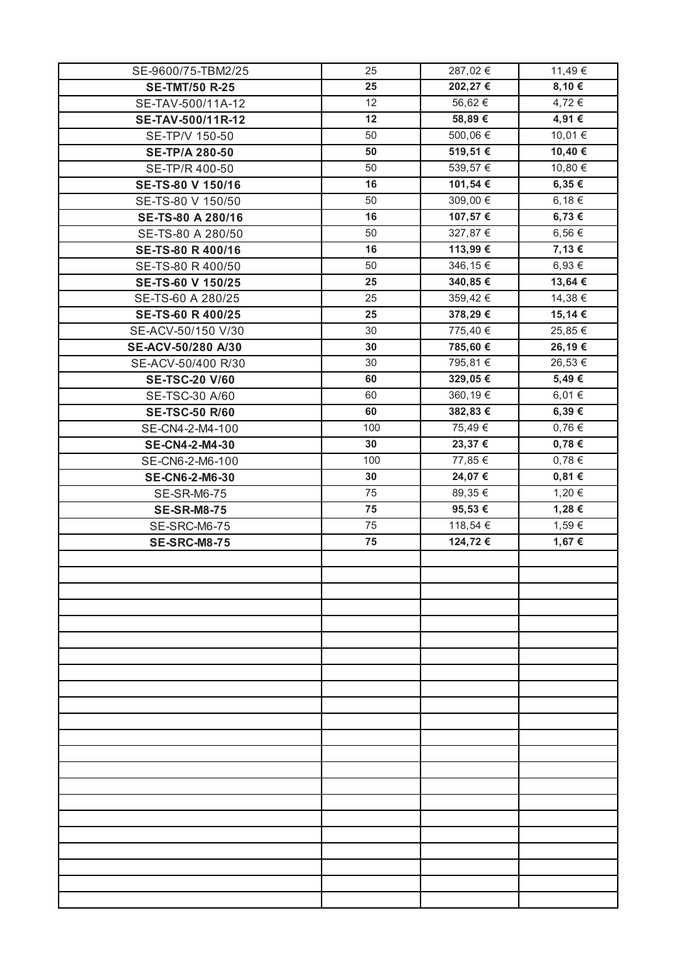| SE-9600/75-TBM2/25    | 25  | 287,02€  | 11,49€     |
|-----------------------|-----|----------|------------|
| <b>SE-TMT/50 R-25</b> | 25  | 202,27€  | 8,10€      |
| SE-TAV-500/11A-12     | 12  | 56,62€   | 4,72 €     |
| SE-TAV-500/11R-12     | 12  | 58,89€   | 4,91 €     |
| SE-TP/V 150-50        | 50  | 500,06 € | 10,01 €    |
| <b>SE-TP/A 280-50</b> | 50  | 519,51€  | 10,40€     |
| SE-TP/R 400-50        | 50  | 539,57€  | 10,80 €    |
| SE-TS-80 V 150/16     | 16  | 101,54 € | $6,35 \in$ |
| SE-TS-80 V 150/50     | 50  | 309,00 € | 6,18€      |
| SE-TS-80 A 280/16     | 16  | 107,57€  | 6,73€      |
| SE-TS-80 A 280/50     | 50  | 327,87 € | 6,56 €     |
| SE-TS-80 R 400/16     | 16  | 113,99€  | 7,13 €     |
| SE-TS-80 R 400/50     | 50  | 346,15€  | 6,93 €     |
| SE-TS-60 V 150/25     | 25  | 340,85€  | 13,64 €    |
| SE-TS-60 A 280/25     | 25  | 359,42€  | 14,38 €    |
| SE-TS-60 R 400/25     | 25  | 378,29€  | 15,14 €    |
| SE-ACV-50/150 V/30    | 30  | 775,40 € | 25,85€     |
| SE-ACV-50/280 A/30    | 30  | 785,60€  | 26,19€     |
| SE-ACV-50/400 R/30    | 30  | 795,81 € | 26,53 €    |
| <b>SE-TSC-20 V/60</b> | 60  | 329,05€  | 5,49€      |
| SE-TSC-30 A/60        | 60  | 360,19€  | 6,01€      |
| <b>SE-TSC-50 R/60</b> | 60  | 382,83€  | 6,39€      |
| SE-CN4-2-M4-100       | 100 | 75,49€   | $0,76 \in$ |
| <b>SE-CN4-2-M4-30</b> | 30  | 23,37€   | $0,78 \in$ |
| SE-CN6-2-M6-100       | 100 | 77,85 €  | 0,78€      |
| <b>SE-CN6-2-M6-30</b> | 30  | 24,07€   | 0,81€      |
| SE-SR-M6-75           | 75  | 89,35 €  | 1,20 €     |
| <b>SE-SR-M8-75</b>    | 75  | 95,53€   | 1,28€      |
| SE-SRC-M6-75          | 75  | 118,54 € | 1,59€      |
| <b>SE-SRC-M8-75</b>   | 75  | 124,72 € | 1,67 €     |
|                       |     |          |            |
|                       |     |          |            |
|                       |     |          |            |
|                       |     |          |            |
|                       |     |          |            |
|                       |     |          |            |
|                       |     |          |            |
|                       |     |          |            |
|                       |     |          |            |
|                       |     |          |            |
|                       |     |          |            |
|                       |     |          |            |
|                       |     |          |            |
|                       |     |          |            |
|                       |     |          |            |
|                       |     |          |            |
|                       |     |          |            |
|                       |     |          |            |
|                       |     |          |            |
|                       |     |          |            |
|                       |     |          |            |
|                       |     |          |            |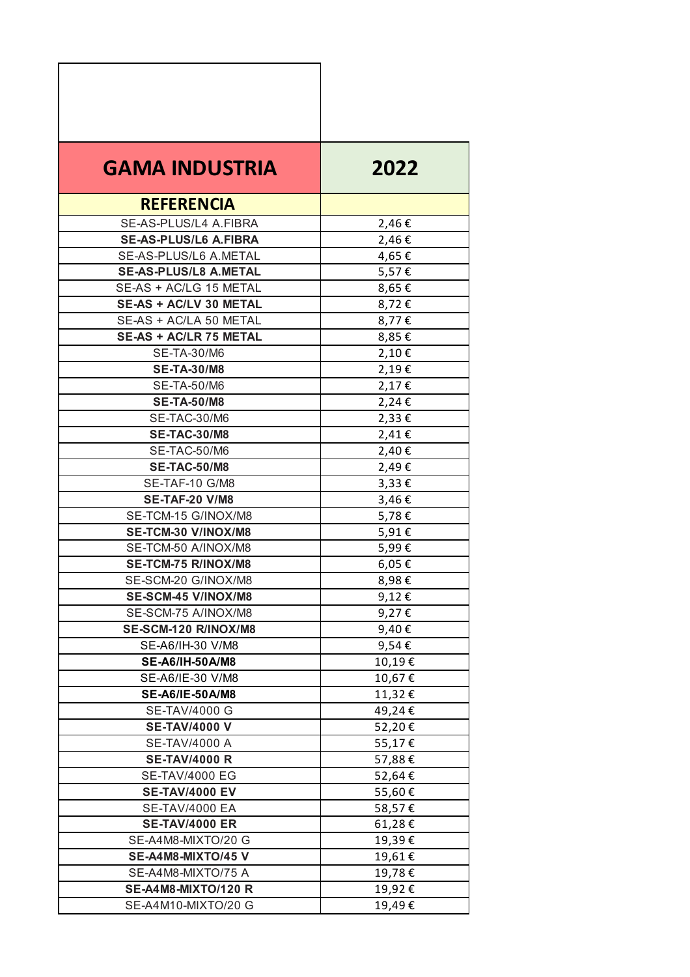| <b>GAMA INDUSTRIA</b>         | 2022   |
|-------------------------------|--------|
| <b>REFERENCIA</b>             |        |
| SE-AS-PLUS/L4 A.FIBRA         | 2,46€  |
| <b>SE-AS-PLUS/L6 A.FIBRA</b>  | 2,46€  |
| SE-AS-PLUS/L6 A.METAL         | 4,65€  |
| <b>SE-AS-PLUS/L8 A.METAL</b>  | 5,57€  |
| SE-AS + AC/LG 15 METAL        | 8,65€  |
| SE-AS + AC/LV 30 METAL        | 8,72€  |
| SE-AS + AC/LA 50 METAL        | 8,77€  |
| <b>SE-AS + AC/LR 75 METAL</b> | 8,85€  |
| SE-TA-30/M6                   | 2,10€  |
| <b>SE-TA-30/M8</b>            | 2,19€  |
| <b>SE-TA-50/M6</b>            | 2,17€  |
| <b>SE-TA-50/M8</b>            | 2,24€  |
| SE-TAC-30/M6                  | 2,33€  |
| <b>SE-TAC-30/M8</b>           | 2,41€  |
| SE-TAC-50/M6                  | 2,40€  |
| <b>SE-TAC-50/M8</b>           | 2,49€  |
| SE-TAF-10 G/M8                | 3,33€  |
| <b>SE-TAF-20 V/M8</b>         | 3,46€  |
| SE-TCM-15 G/INOX/M8           | 5,78€  |
| SE-TCM-30 V/INOX/M8           | 5,91€  |
| SE-TCM-50 A/INOX/M8           | 5,99€  |
| SE-TCM-75 R/INOX/M8           | 6,05€  |
| SE-SCM-20 G/INOX/M8           | 8,98€  |
| <b>SE-SCM-45 V/INOX/M8</b>    | 9,12€  |
| SE-SCM-75 A/INOX/M8           | 9,27€  |
| SE-SCM-120 R/INOX/M8          | 9,40€  |
| SE-A6/IH-30 V/M8              | 9,54€  |
| SE-A6/IH-50A/M8               | 10,19€ |
| SE-A6/IE-30 V/M8              | 10,67€ |
| SE-A6/IE-50A/M8               | 11,32€ |
| <b>SE-TAV/4000 G</b>          | 49,24€ |
| <b>SE-TAV/4000 V</b>          | 52,20€ |
| <b>SE-TAV/4000 A</b>          | 55,17€ |
| <b>SE-TAV/4000 R</b>          | 57,88€ |
| <b>SE-TAV/4000 EG</b>         | 52,64€ |
| <b>SE-TAV/4000 EV</b>         | 55,60€ |
| <b>SE-TAV/4000 EA</b>         | 58,57€ |
| <b>SE-TAV/4000 ER</b>         | 61,28€ |
| SE-A4M8-MIXTO/20 G            | 19,39€ |
| SE-A4M8-MIXTO/45 V            | 19,61€ |
| SE-A4M8-MIXTO/75 A            | 19,78€ |
| <b>SE-A4M8-MIXTO/120 R</b>    | 19,92€ |
| SE-A4M10-MIXTO/20 G           | 19,49€ |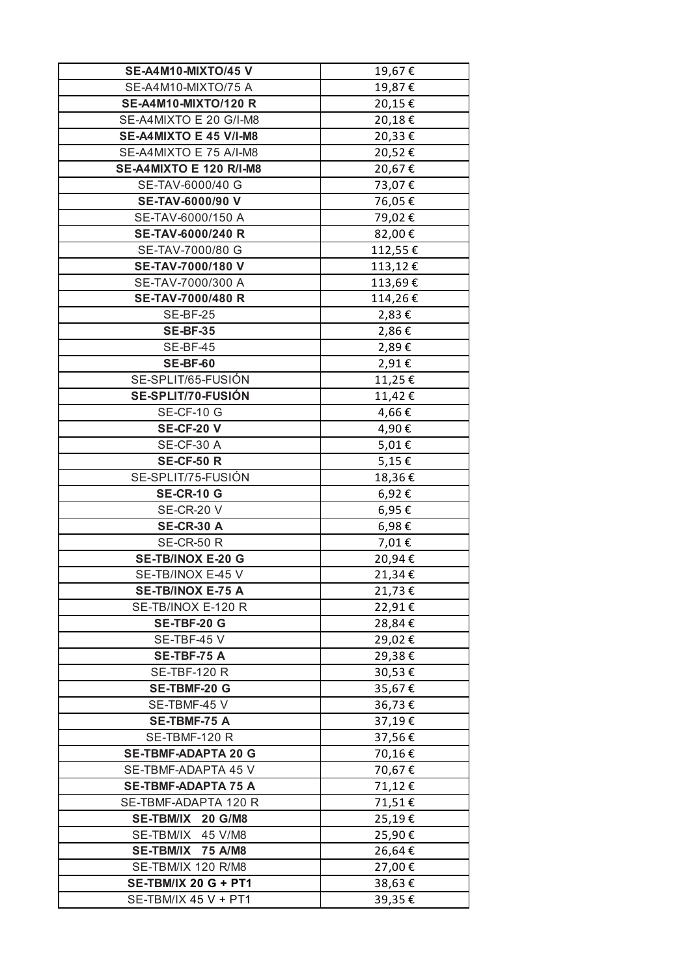| SE-A4M10-MIXTO/45 V                                 | 19,67€           |
|-----------------------------------------------------|------------------|
| SE-A4M10-MIXTO/75 A                                 | 19,87€           |
| <b>SE-A4M10-MIXTO/120 R</b>                         | 20,15€           |
| SE-A4MIXTO E 20 G/I-M8                              | 20,18€           |
| SE-A4MIXTO E 45 V/I-M8                              | 20,33€           |
| SE-A4MIXTO E 75 A/I-M8                              | 20,52€           |
| <b>SE-A4MIXTO E 120 R/I-M8</b>                      | 20,67€           |
| SE-TAV-6000/40 G                                    | 73,07€           |
| SE-TAV-6000/90 V                                    | 76,05€           |
| SE-TAV-6000/150 A                                   | 79,02€           |
| SE-TAV-6000/240 R                                   | 82,00€           |
| SE-TAV-7000/80 G                                    | 112,55€          |
| SE-TAV-7000/180 V                                   | 113,12€          |
| SE-TAV-7000/300 A                                   | 113,69€          |
| SE-TAV-7000/480 R                                   | 114,26€          |
| <b>SE-BF-25</b>                                     | 2,83€            |
| <b>SE-BF-35</b>                                     | 2,86€            |
| SE-BF-45                                            | 2,89€            |
| <b>SE-BF-60</b>                                     | 2,91€            |
| SE-SPLIT/65-FUSIÓN                                  | 11,25€           |
| SE-SPLIT/70-FUSIÓN                                  | 11,42€           |
| SE-CF-10 G                                          | 4,66€            |
| <b>SE-CF-20 V</b>                                   | 4,90€            |
| SE-CF-30 A                                          | 5,01€            |
| <b>SE-CF-50 R</b>                                   | 5,15€            |
| SE-SPLIT/75-FUSIÓN                                  | 18,36€           |
| <b>SE-CR-10 G</b>                                   | 6,92€            |
| <b>SE-CR-20 V</b>                                   | 6,95€            |
| <b>SE-CR-30 A</b>                                   | 6,98€            |
| <b>SE-CR-50 R</b>                                   | 7,01€            |
| SE-TB/INOX E-20 G                                   | 20,94€           |
| SE-TB/INOX E-45 V                                   | 21,34€           |
| SE-TB/INOX E-75 A                                   | 21,73€           |
| SE-TB/INOX E-120 R                                  | 22,91€           |
| <b>SE-TBF-20 G</b>                                  | 28,84€           |
| SE-TBF-45 V                                         | 29,02€           |
| SE-TBF-75 A                                         | 29,38€           |
| <b>SE-TBF-120 R</b>                                 | 30,53€           |
| <b>SE-TBMF-20 G</b>                                 | 35,67€           |
| SE-TBMF-45 V                                        | 36,73€           |
| <b>SE-TBMF-75 A</b>                                 | 37,19€           |
| SE-TBMF-120 R                                       | 37,56€           |
| <b>SE-TBMF-ADAPTA 20 G</b>                          | 70,16€           |
| SE-TBMF-ADAPTA 45 V                                 | 70,67€           |
| <b>SE-TBMF-ADAPTA 75 A</b>                          | 71,12€           |
| SE-TBMF-ADAPTA 120 R                                | 71,51€           |
| SE-TBM/IX 20 G/M8                                   | 25,19€           |
| SE-TBM/IX 45 V/M8                                   | 25,90€           |
| <b>SE-TBM/IX</b><br>75 A/M8                         | 26,64€           |
| SE-TBM/IX 120 R/M8                                  | 27,00€           |
|                                                     |                  |
|                                                     |                  |
| <b>SE-TBM/IX 20 G + PT1</b><br>SE-TBM/IX 45 V + PT1 | 38,63€<br>39,35€ |